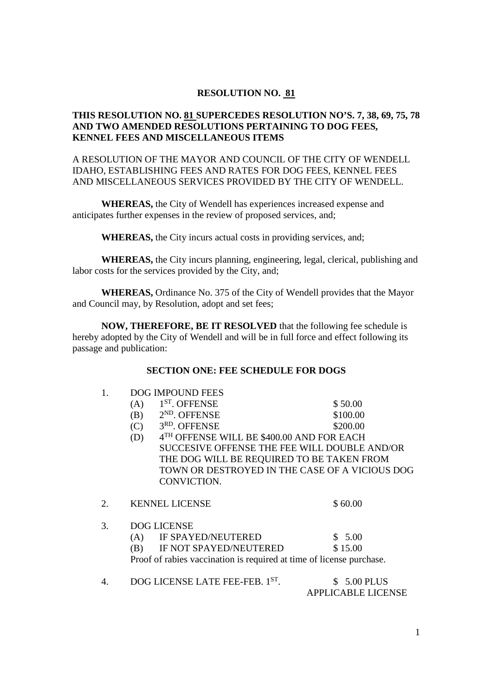## **RESOLUTION NO. 81**

# **THIS RESOLUTION NO. 81 SUPERCEDES RESOLUTION NO'S. 7, 38, 69, 75, 78 AND TWO AMENDED RESOLUTIONS PERTAINING TO DOG FEES, KENNEL FEES AND MISCELLANEOUS ITEMS**

A RESOLUTION OF THE MAYOR AND COUNCIL OF THE CITY OF WENDELL IDAHO, ESTABLISHING FEES AND RATES FOR DOG FEES, KENNEL FEES AND MISCELLANEOUS SERVICES PROVIDED BY THE CITY OF WENDELL.

 **WHEREAS,** the City of Wendell has experiences increased expense and anticipates further expenses in the review of proposed services, and;

**WHEREAS,** the City incurs actual costs in providing services, and;

 **WHEREAS,** the City incurs planning, engineering, legal, clerical, publishing and labor costs for the services provided by the City, and;

**WHEREAS,** Ordinance No. 375 of the City of Wendell provides that the Mayor and Council may, by Resolution, adopt and set fees;

**NOW, THEREFORE, BE IT RESOLVED** that the following fee schedule is hereby adopted by the City of Wendell and will be in full force and effect following its passage and publication:

## **SECTION ONE: FEE SCHEDULE FOR DOGS**

| 1.<br><b>DOG IMPOUND FEES</b> |  |
|-------------------------------|--|
|-------------------------------|--|

|    | (A) | $1ST$ . OFFENSE                                                      | \$50.00                |  |
|----|-----|----------------------------------------------------------------------|------------------------|--|
|    | (B) | $2ND$ . OFFENSE                                                      | \$100.00               |  |
|    | (C) | 3RD. OFFENSE                                                         | \$200.00               |  |
|    | (D) | 4TH OFFENSE WILL BE \$400.00 AND FOR EACH                            |                        |  |
|    |     | SUCCESIVE OFFENSE THE FEE WILL DOUBLE AND/OR                         |                        |  |
|    |     | THE DOG WILL BE REQUIRED TO BE TAKEN FROM                            |                        |  |
|    |     | TOWN OR DESTROYED IN THE CASE OF A VICIOUS DOG                       |                        |  |
|    |     | CONVICTION.                                                          |                        |  |
| 2. |     | <b>KENNEL LICENSE</b>                                                | \$60.00                |  |
| 3. |     | <b>DOG LICENSE</b>                                                   |                        |  |
|    |     | (A) IF SPAYED/NEUTERED                                               | \$5.00                 |  |
|    | (B) | IF NOT SPAYED/NEUTERED                                               | \$15.00                |  |
|    |     | Proof of rabies vaccination is required at time of license purchase. |                        |  |
| 4. |     | DOG LICENSE LATE FEE-FEB. 1ST.                                       | <b>5.00 PLUS</b><br>S. |  |
|    |     |                                                                      |                        |  |

APPLICABLE LICENSE

1